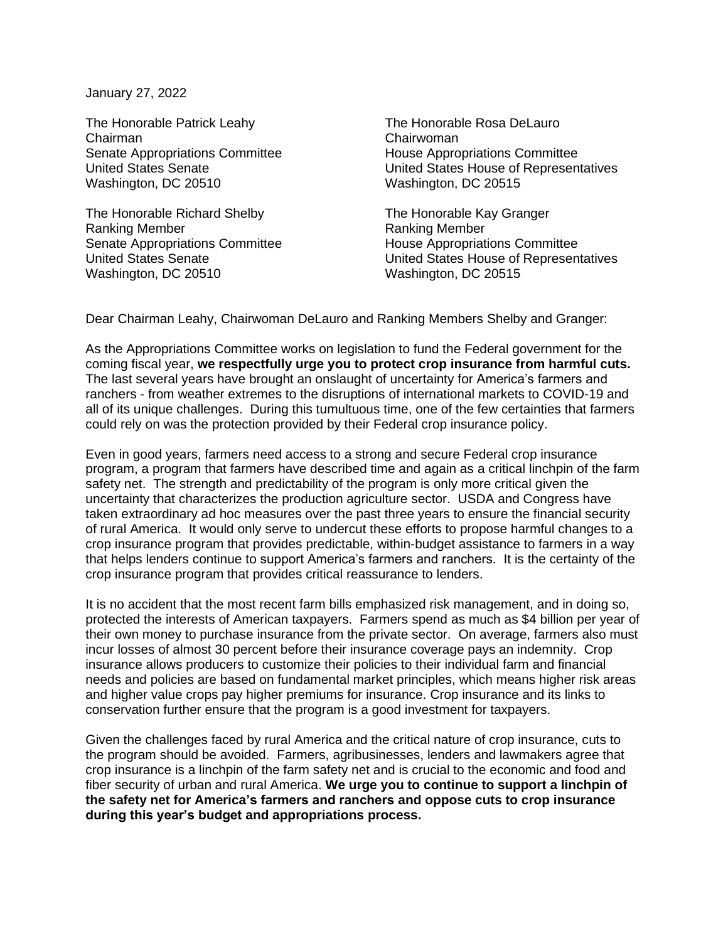January 27, 2022

The Honorable Patrick Leahy Chairman Senate Appropriations Committee United States Senate Washington, DC 20510

The Honorable Richard Shelby Ranking Member Senate Appropriations Committee United States Senate Washington, DC 20510

The Honorable Rosa DeLauro Chairwoman House Appropriations Committee United States House of Representatives Washington, DC 20515

The Honorable Kay Granger Ranking Member House Appropriations Committee United States House of Representatives Washington, DC 20515

Dear Chairman Leahy, Chairwoman DeLauro and Ranking Members Shelby and Granger:

As the Appropriations Committee works on legislation to fund the Federal government for the coming fiscal year, **we respectfully urge you to protect crop insurance from harmful cuts.** The last several years have brought an onslaught of uncertainty for America's farmers and ranchers - from weather extremes to the disruptions of international markets to COVID-19 and all of its unique challenges. During this tumultuous time, one of the few certainties that farmers could rely on was the protection provided by their Federal crop insurance policy.

Even in good years, farmers need access to a strong and secure Federal crop insurance program, a program that farmers have described time and again as a critical linchpin of the farm safety net. The strength and predictability of the program is only more critical given the uncertainty that characterizes the production agriculture sector. USDA and Congress have taken extraordinary ad hoc measures over the past three years to ensure the financial security of rural America. It would only serve to undercut these efforts to propose harmful changes to a crop insurance program that provides predictable, within-budget assistance to farmers in a way that helps lenders continue to support America's farmers and ranchers. It is the certainty of the crop insurance program that provides critical reassurance to lenders.

It is no accident that the most recent farm bills emphasized risk management, and in doing so, protected the interests of American taxpayers. Farmers spend as much as \$4 billion per year of their own money to purchase insurance from the private sector. On average, farmers also must incur losses of almost 30 percent before their insurance coverage pays an indemnity. Crop insurance allows producers to customize their policies to their individual farm and financial needs and policies are based on fundamental market principles, which means higher risk areas and higher value crops pay higher premiums for insurance. Crop insurance and its links to conservation further ensure that the program is a good investment for taxpayers.

Given the challenges faced by rural America and the critical nature of crop insurance, cuts to the program should be avoided. Farmers, agribusinesses, lenders and lawmakers agree that crop insurance is a linchpin of the farm safety net and is crucial to the economic and food and fiber security of urban and rural America. **We urge you to continue to support a linchpin of the safety net for America's farmers and ranchers and oppose cuts to crop insurance during this year's budget and appropriations process.**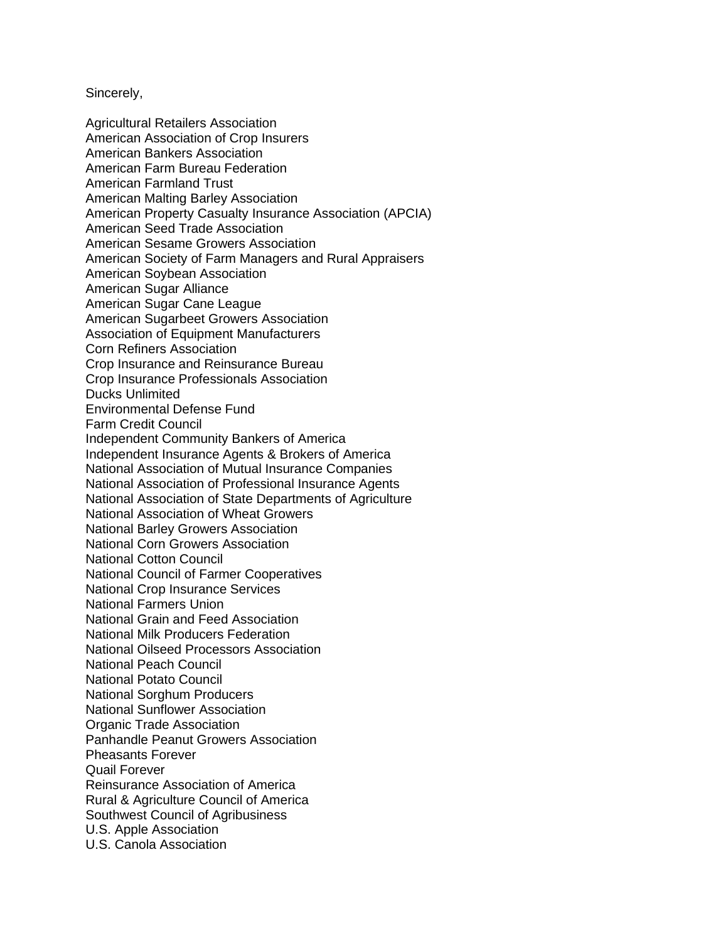Sincerely,

Agricultural Retailers Association American Association of Crop Insurers American Bankers Association American Farm Bureau Federation American Farmland Trust American Malting Barley Association American Property Casualty Insurance Association (APCIA) American Seed Trade Association American Sesame Growers Association American Society of Farm Managers and Rural Appraisers American Soybean Association American Sugar Alliance American Sugar Cane League American Sugarbeet Growers Association Association of Equipment Manufacturers Corn Refiners Association Crop Insurance and Reinsurance Bureau Crop Insurance Professionals Association Ducks Unlimited Environmental Defense Fund Farm Credit Council Independent Community Bankers of America Independent Insurance Agents & Brokers of America National Association of Mutual Insurance Companies National Association of Professional Insurance Agents National Association of State Departments of Agriculture National Association of Wheat Growers National Barley Growers Association National Corn Growers Association National Cotton Council National Council of Farmer Cooperatives National Crop Insurance Services National Farmers Union National Grain and Feed Association National Milk Producers Federation National Oilseed Processors Association National Peach Council National Potato Council National Sorghum Producers National Sunflower Association Organic Trade Association Panhandle Peanut Growers Association Pheasants Forever Quail Forever Reinsurance Association of America Rural & Agriculture Council of America Southwest Council of Agribusiness U.S. Apple Association U.S. Canola Association